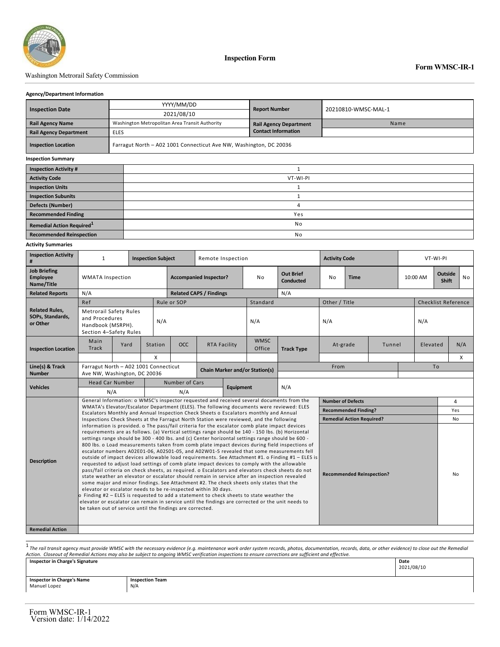

## Washington Metrorail Safety Commission

## **Agency/Department Information**

|                               |             | YYYY/MM/DD                                                         | <b>Report Number</b>          | 20210810-WMSC-MAL-1 |  |  |  |  |  |
|-------------------------------|-------------|--------------------------------------------------------------------|-------------------------------|---------------------|--|--|--|--|--|
| <b>Inspection Date</b>        |             | 2021/08/10                                                         |                               |                     |  |  |  |  |  |
| <b>Rail Agency Name</b>       |             | Washington Metropolitan Area Transit Authority                     | <b>Rail Agency Department</b> | Name                |  |  |  |  |  |
| <b>Rail Agency Department</b> | <b>ELES</b> |                                                                    | <b>Contact Information</b>    |                     |  |  |  |  |  |
| <b>Inspection Location</b>    |             | Farragut North - A02 1001 Connecticut Ave NW, Washington, DC 20036 |                               |                     |  |  |  |  |  |
| <b>Inspection Summary</b>     |             |                                                                    |                               |                     |  |  |  |  |  |
| <b>Inspection Activity #</b>  |             |                                                                    |                               |                     |  |  |  |  |  |
| <b>Activity Code</b>          |             | VT-WI-PI                                                           |                               |                     |  |  |  |  |  |
| <b>Inspection Units</b>       |             |                                                                    |                               |                     |  |  |  |  |  |
| <b>Inspection Subunits</b>    |             |                                                                    |                               |                     |  |  |  |  |  |
| <b>Defects (Number)</b>       |             | 4                                                                  |                               |                     |  |  |  |  |  |
| <b>Recommended Finding</b>    |             |                                                                    | Yes                           |                     |  |  |  |  |  |

**Remedial Action Required**<sup>1</sup> and **1** No **Recommended Reinspection and the comment of Recommended Reinspection and No. 2006. In the commended Reinspection** 

## **Activity Summaries**

| <b>Inspection Activity</b><br>#                       | $\mathbf{1}$<br><b>Inspection Subject</b>                                                                                                                                                                                                                                                                                                                                                                                                                                                                                                                                                                                                                                                                                                                                                                                                                                                                                                                                                                                                                                                                                                                                                                                                                                                                                                                                      |      |         | Remote Inspection             |                                       |                     |                       | <b>Activity Code</b>                 |                          |                                  | VT-WI-PI |        |                                            |          |           |  |
|-------------------------------------------------------|--------------------------------------------------------------------------------------------------------------------------------------------------------------------------------------------------------------------------------------------------------------------------------------------------------------------------------------------------------------------------------------------------------------------------------------------------------------------------------------------------------------------------------------------------------------------------------------------------------------------------------------------------------------------------------------------------------------------------------------------------------------------------------------------------------------------------------------------------------------------------------------------------------------------------------------------------------------------------------------------------------------------------------------------------------------------------------------------------------------------------------------------------------------------------------------------------------------------------------------------------------------------------------------------------------------------------------------------------------------------------------|------|---------|-------------------------------|---------------------------------------|---------------------|-----------------------|--------------------------------------|--------------------------|----------------------------------|----------|--------|--------------------------------------------|----------|-----------|--|
| <b>Job Briefing</b><br>Employee<br>Name/Title         | <b>WMATA Inspection</b>                                                                                                                                                                                                                                                                                                                                                                                                                                                                                                                                                                                                                                                                                                                                                                                                                                                                                                                                                                                                                                                                                                                                                                                                                                                                                                                                                        |      |         | <b>Accompanied Inspector?</b> |                                       |                     | No                    | <b>Out Brief</b><br><b>Conducted</b> | <b>No</b>                | <b>Time</b>                      |          |        | <b>Outside</b><br>10:00 AM<br><b>Shift</b> |          | <b>No</b> |  |
| <b>Related Reports</b>                                | N/A                                                                                                                                                                                                                                                                                                                                                                                                                                                                                                                                                                                                                                                                                                                                                                                                                                                                                                                                                                                                                                                                                                                                                                                                                                                                                                                                                                            |      |         |                               | <b>Related CAPS / Findings</b>        |                     |                       | N/A                                  |                          |                                  |          |        |                                            |          |           |  |
|                                                       | Ref                                                                                                                                                                                                                                                                                                                                                                                                                                                                                                                                                                                                                                                                                                                                                                                                                                                                                                                                                                                                                                                                                                                                                                                                                                                                                                                                                                            |      |         | Rule or SOP                   |                                       |                     | Standard              |                                      | Other / Title            |                                  |          |        | <b>Checklist Reference</b>                 |          |           |  |
| <b>Related Rules,</b><br>SOPs, Standards,<br>or Other | <b>Metrorail Safety Rules</b><br>and Procedures<br>Handbook (MSRPH).<br>Section 4-Safety Rules                                                                                                                                                                                                                                                                                                                                                                                                                                                                                                                                                                                                                                                                                                                                                                                                                                                                                                                                                                                                                                                                                                                                                                                                                                                                                 |      | N/A     |                               |                                       |                     | N/A                   |                                      |                          | N/A                              |          |        |                                            | N/A      |           |  |
| <b>Inspection Location</b>                            | Main<br>Track                                                                                                                                                                                                                                                                                                                                                                                                                                                                                                                                                                                                                                                                                                                                                                                                                                                                                                                                                                                                                                                                                                                                                                                                                                                                                                                                                                  | Yard | Station | <b>OCC</b>                    |                                       | <b>RTA Facility</b> | <b>WMSC</b><br>Office | <b>Track Type</b>                    | At-grade                 |                                  |          | Tunnel |                                            | Elevated | N/A       |  |
|                                                       |                                                                                                                                                                                                                                                                                                                                                                                                                                                                                                                                                                                                                                                                                                                                                                                                                                                                                                                                                                                                                                                                                                                                                                                                                                                                                                                                                                                |      | X       |                               |                                       |                     |                       |                                      |                          |                                  |          |        |                                            | X        |           |  |
| Line(s) & Track<br><b>Number</b>                      | Farragut North - A02 1001 Connecticut<br>Ave NW, Washington, DC 20036                                                                                                                                                                                                                                                                                                                                                                                                                                                                                                                                                                                                                                                                                                                                                                                                                                                                                                                                                                                                                                                                                                                                                                                                                                                                                                          |      |         |                               | <b>Chain Marker and/or Station(s)</b> |                     |                       |                                      |                          | From                             |          |        | To                                         |          |           |  |
| <b>Vehicles</b>                                       | <b>Head Car Number</b>                                                                                                                                                                                                                                                                                                                                                                                                                                                                                                                                                                                                                                                                                                                                                                                                                                                                                                                                                                                                                                                                                                                                                                                                                                                                                                                                                         |      |         | Number of Cars                |                                       |                     |                       |                                      |                          |                                  |          |        |                                            |          |           |  |
|                                                       | N/A                                                                                                                                                                                                                                                                                                                                                                                                                                                                                                                                                                                                                                                                                                                                                                                                                                                                                                                                                                                                                                                                                                                                                                                                                                                                                                                                                                            |      |         | <b>Equipment</b><br>N/A       |                                       |                     | N/A                   |                                      |                          |                                  |          |        |                                            |          |           |  |
|                                                       | General Information: o WMSC's inspector requested and received several documents from the                                                                                                                                                                                                                                                                                                                                                                                                                                                                                                                                                                                                                                                                                                                                                                                                                                                                                                                                                                                                                                                                                                                                                                                                                                                                                      |      |         |                               |                                       |                     |                       |                                      | <b>Number of Defects</b> |                                  |          |        |                                            |          | 4         |  |
|                                                       | WMATA's Elevator/Escalator Department (ELES). The following documents were reviewed: ELES<br>Escalators Monthly and Annual Inspection Check Sheets o Escalators monthly and Annual                                                                                                                                                                                                                                                                                                                                                                                                                                                                                                                                                                                                                                                                                                                                                                                                                                                                                                                                                                                                                                                                                                                                                                                             |      |         |                               |                                       |                     |                       |                                      |                          | <b>Recommended Finding?</b>      |          |        |                                            |          | Yes       |  |
|                                                       | Inspections Check Sheets at the Farragut North Station were reviewed, and the following                                                                                                                                                                                                                                                                                                                                                                                                                                                                                                                                                                                                                                                                                                                                                                                                                                                                                                                                                                                                                                                                                                                                                                                                                                                                                        |      |         |                               |                                       |                     |                       |                                      |                          | <b>Remedial Action Required?</b> |          |        |                                            |          | No        |  |
| <b>Description</b><br><b>Remedial Action</b>          | information is provided. o The pass/fail criteria for the escalator comb plate impact devices<br>requirements are as follows. (a) Vertical settings range should be 140 - 150 lbs. (b) Horizontal<br>settings range should be 300 - 400 lbs. and (c) Center horizontal settings range should be 600 -<br>800 lbs. o Load measurements taken from comb plate impact devices during field inspections of<br>escalator numbers A02E01-06, A02S01-05, and A02W01-5 revealed that some measurements fell<br>outside of impact devices allowable load requirements. See Attachment #1. o Finding #1 - ELES is<br>requested to adjust load settings of comb plate impact devices to comply with the allowable<br>pass/fail criteria on check sheets, as required. o Escalators and elevators check sheets do not<br><b>Recommended Reinspection?</b><br>state weather an elevator or escalator should remain in service after an inspection revealed<br>some major and minor findings. See Attachment #2. The check sheets only states that the<br>elevator or escalator needs to be re-inspected within 30 days.<br>$\circ$ Finding #2 – ELES is requested to add a statement to check sheets to state weather the<br>elevator or escalator can remain in service until the findings are corrected or the unit needs to<br>be taken out of service until the findings are corrected. |      |         |                               |                                       |                     |                       |                                      |                          |                                  | No       |        |                                            |          |           |  |

<sup>1</sup> The rail transit agency must provide WMSC with the necessary evidence (e.g. maintenance work order system records, photos, documentation, records, data, or other evidence) to close out the Remedial<br>Action. Closeout of **Inspector in Charge's Signature Date**

| maperror in charge a aignarure                    |                               | <b>Date</b><br>2021/08/10 |
|---------------------------------------------------|-------------------------------|---------------------------|
| <b>Inspector in Charge's Name</b><br>Manuel Lopez | <b>Inspection Team</b><br>N/A |                           |